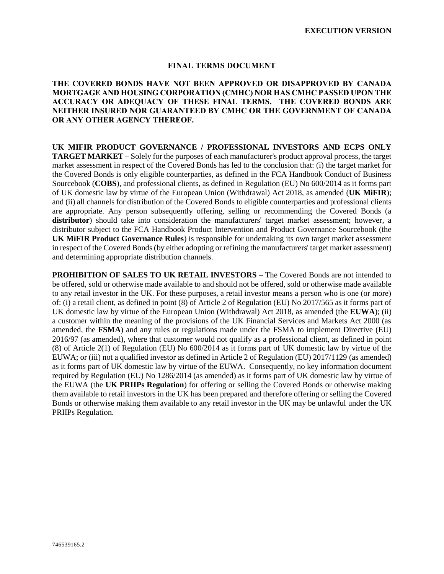#### **FINAL TERMS DOCUMENT**

## **THE COVERED BONDS HAVE NOT BEEN APPROVED OR DISAPPROVED BY CANADA MORTGAGE AND HOUSING CORPORATION (CMHC) NOR HAS CMHC PASSED UPON THE ACCURACY OR ADEQUACY OF THESE FINAL TERMS. THE COVERED BONDS ARE NEITHER INSURED NOR GUARANTEED BY CMHC OR THE GOVERNMENT OF CANADA OR ANY OTHER AGENCY THEREOF.**

**UK MIFIR PRODUCT GOVERNANCE / PROFESSIONAL INVESTORS AND ECPS ONLY TARGET MARKET –** Solely for the purposes of each manufacturer's product approval process, the target market assessment in respect of the Covered Bonds has led to the conclusion that: (i) the target market for the Covered Bonds is only eligible counterparties, as defined in the FCA Handbook Conduct of Business Sourcebook (**COBS**), and professional clients, as defined in Regulation (EU) No 600/2014 as it forms part of UK domestic law by virtue of the European Union (Withdrawal) Act 2018, as amended (**UK MiFIR**); and (ii) all channels for distribution of the Covered Bonds to eligible counterparties and professional clients are appropriate. Any person subsequently offering, selling or recommending the Covered Bonds (a **distributor**) should take into consideration the manufacturers' target market assessment; however, a distributor subject to the FCA Handbook Product Intervention and Product Governance Sourcebook (the **UK MiFIR Product Governance Rules**) is responsible for undertaking its own target market assessment in respect of the Covered Bonds (by either adopting or refining the manufacturers' target market assessment) and determining appropriate distribution channels.

**PROHIBITION OF SALES TO UK RETAIL INVESTORS –** The Covered Bonds are not intended to be offered, sold or otherwise made available to and should not be offered, sold or otherwise made available to any retail investor in the UK. For these purposes, a retail investor means a person who is one (or more) of: (i) a retail client, as defined in point (8) of Article 2 of Regulation (EU) No 2017/565 as it forms part of UK domestic law by virtue of the European Union (Withdrawal) Act 2018, as amended (the **EUWA**); (ii) a customer within the meaning of the provisions of the UK Financial Services and Markets Act 2000 (as amended, the **FSMA**) and any rules or regulations made under the FSMA to implement Directive (EU) 2016/97 (as amended), where that customer would not qualify as a professional client, as defined in point (8) of Article 2(1) of Regulation (EU) No 600/2014 as it forms part of UK domestic law by virtue of the EUWA; or (iii) not a qualified investor as defined in Article 2 of Regulation (EU) 2017/1129 (as amended) as it forms part of UK domestic law by virtue of the EUWA. Consequently, no key information document required by Regulation (EU) No 1286/2014 (as amended) as it forms part of UK domestic law by virtue of the EUWA (the **UK PRIIPs Regulation**) for offering or selling the Covered Bonds or otherwise making them available to retail investors in the UK has been prepared and therefore offering or selling the Covered Bonds or otherwise making them available to any retail investor in the UK may be unlawful under the UK PRIIPs Regulation.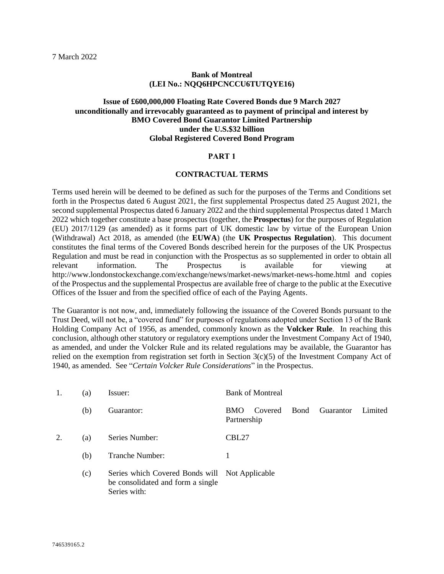#### **Bank of Montreal (LEI No.: NQQ6HPCNCCU6TUTQYE16)**

## **Issue of £600,000,000 Floating Rate Covered Bonds due 9 March 2027 unconditionally and irrevocably guaranteed as to payment of principal and interest by BMO Covered Bond Guarantor Limited Partnership under the U.S.\$32 billion Global Registered Covered Bond Program**

#### **PART 1**

#### **CONTRACTUAL TERMS**

Terms used herein will be deemed to be defined as such for the purposes of the Terms and Conditions set forth in the Prospectus dated 6 August 2021, the first supplemental Prospectus dated 25 August 2021, the second supplemental Prospectus dated 6 January 2022 and the third supplemental Prospectus dated 1 March 2022 which together constitute a base prospectus (together, the **Prospectus**) for the purposes of Regulation (EU) 2017/1129 (as amended) as it forms part of UK domestic law by virtue of the European Union (Withdrawal) Act 2018, as amended (the **EUWA**) (the **UK Prospectus Regulation**). This document constitutes the final terms of the Covered Bonds described herein for the purposes of the UK Prospectus Regulation and must be read in conjunction with the Prospectus as so supplemented in order to obtain all relevant information. The Prospectus is available for viewing at http://www.londonstockexchange.com/exchange/news/market-news/market-news-home.html and copies of the Prospectus and the supplemental Prospectus are available free of charge to the public at the Executive Offices of the Issuer and from the specified office of each of the Paying Agents.

The Guarantor is not now, and, immediately following the issuance of the Covered Bonds pursuant to the Trust Deed, will not be, a "covered fund" for purposes of regulations adopted under Section 13 of the Bank Holding Company Act of 1956, as amended, commonly known as the **Volcker Rule**. In reaching this conclusion, although other statutory or regulatory exemptions under the Investment Company Act of 1940, as amended, and under the Volcker Rule and its related regulations may be available, the Guarantor has relied on the exemption from registration set forth in Section  $3(c)(5)$  of the Investment Company Act of 1940, as amended. See "*Certain Volcker Rule Considerations*" in the Prospectus.

| 1. | (a) | Issuer:                                                                                             | <b>Bank of Montreal</b>                                        |
|----|-----|-----------------------------------------------------------------------------------------------------|----------------------------------------------------------------|
|    | (b) | Guarantor:                                                                                          | Bond<br>Guarantor<br>Limited<br>Covered<br>BMO.<br>Partnership |
| 2. | (a) | Series Number:                                                                                      | CBL <sub>27</sub>                                              |
|    | (b) | <b>Tranche Number:</b>                                                                              |                                                                |
|    | (c) | Series which Covered Bonds will Not Applicable<br>be consolidated and form a single<br>Series with: |                                                                |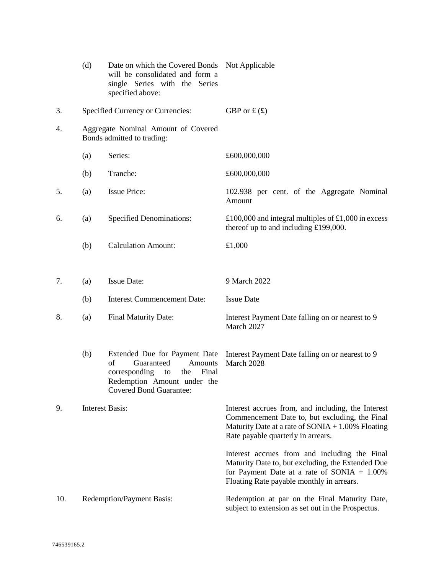|     | (d) | Date on which the Covered Bonds<br>will be consolidated and form a<br>single Series with the Series<br>specified above:                                                     | Not Applicable                                                                                                                                                                                     |
|-----|-----|-----------------------------------------------------------------------------------------------------------------------------------------------------------------------------|----------------------------------------------------------------------------------------------------------------------------------------------------------------------------------------------------|
| 3.  |     | <b>Specified Currency or Currencies:</b>                                                                                                                                    | GBP or £ $(f)$                                                                                                                                                                                     |
| 4.  |     | Aggregate Nominal Amount of Covered<br>Bonds admitted to trading:                                                                                                           |                                                                                                                                                                                                    |
|     | (a) | Series:                                                                                                                                                                     | £600,000,000                                                                                                                                                                                       |
|     | (b) | Tranche:                                                                                                                                                                    | £600,000,000                                                                                                                                                                                       |
| 5.  | (a) | <b>Issue Price:</b>                                                                                                                                                         | 102.938 per cent. of the Aggregate Nominal<br>Amount                                                                                                                                               |
| 6.  | (a) | <b>Specified Denominations:</b>                                                                                                                                             | £100,000 and integral multiples of £1,000 in excess<br>thereof up to and including £199,000.                                                                                                       |
|     | (b) | <b>Calculation Amount:</b>                                                                                                                                                  | £1,000                                                                                                                                                                                             |
|     |     |                                                                                                                                                                             |                                                                                                                                                                                                    |
| 7.  | (a) | <b>Issue Date:</b>                                                                                                                                                          | 9 March 2022                                                                                                                                                                                       |
|     | (b) | <b>Interest Commencement Date:</b>                                                                                                                                          | <b>Issue Date</b>                                                                                                                                                                                  |
| 8.  | (a) | Final Maturity Date:                                                                                                                                                        | Interest Payment Date falling on or nearest to 9<br>March 2027                                                                                                                                     |
|     | (b) | Extended Due for Payment Date<br>of<br>Guaranteed<br><b>Amounts</b><br>corresponding<br>the<br>Final<br>to<br>Redemption Amount under the<br><b>Covered Bond Guarantee:</b> | Interest Payment Date falling on or nearest to 9<br>March 2028                                                                                                                                     |
| 9.  |     | <b>Interest Basis:</b>                                                                                                                                                      | Interest accrues from, and including, the Interest<br>Commencement Date to, but excluding, the Final<br>Maturity Date at a rate of $SONIA + 1.00\%$ Floating<br>Rate payable quarterly in arrears. |
|     |     |                                                                                                                                                                             | Interest accrues from and including the Final<br>Maturity Date to, but excluding, the Extended Due<br>for Payment Date at a rate of $SONIA + 1.00\%$<br>Floating Rate payable monthly in arrears.  |
| 10. |     | Redemption/Payment Basis:                                                                                                                                                   | Redemption at par on the Final Maturity Date,<br>subject to extension as set out in the Prospectus.                                                                                                |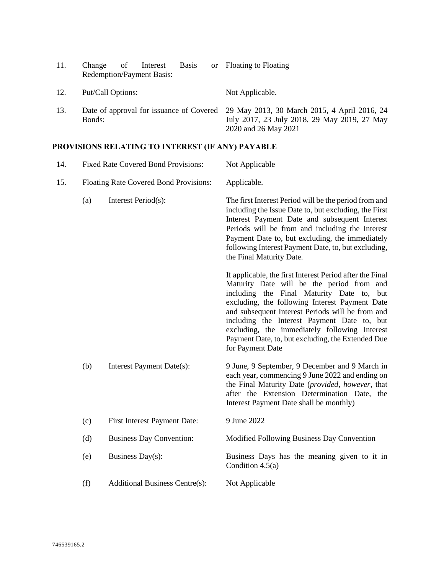| 11. | <b>Basis</b><br>Interest<br>Change<br>of<br><b>Redemption/Payment Basis:</b> | or Floating to Floating                                                                                                                                       |
|-----|------------------------------------------------------------------------------|---------------------------------------------------------------------------------------------------------------------------------------------------------------|
| 12. | Put/Call Options:                                                            | Not Applicable.                                                                                                                                               |
| 13. | Bonds:                                                                       | Date of approval for issuance of Covered 29 May 2013, 30 March 2015, 4 April 2016, 24<br>July 2017, 23 July 2018, 29 May 2019, 27 May<br>2020 and 26 May 2021 |

# **PROVISIONS RELATING TO INTEREST (IF ANY) PAYABLE**

| 14. |     | <b>Fixed Rate Covered Bond Provisions:</b> | Not Applicable                                                                                                                                                                                                                                                                                                                                                                                                                       |
|-----|-----|--------------------------------------------|--------------------------------------------------------------------------------------------------------------------------------------------------------------------------------------------------------------------------------------------------------------------------------------------------------------------------------------------------------------------------------------------------------------------------------------|
| 15. |     | Floating Rate Covered Bond Provisions:     | Applicable.                                                                                                                                                                                                                                                                                                                                                                                                                          |
|     | (a) | Interest Period(s):                        | The first Interest Period will be the period from and<br>including the Issue Date to, but excluding, the First<br>Interest Payment Date and subsequent Interest<br>Periods will be from and including the Interest<br>Payment Date to, but excluding, the immediately<br>following Interest Payment Date, to, but excluding,<br>the Final Maturity Date.                                                                             |
|     |     |                                            | If applicable, the first Interest Period after the Final<br>Maturity Date will be the period from and<br>including the Final Maturity Date to,<br>but<br>excluding, the following Interest Payment Date<br>and subsequent Interest Periods will be from and<br>including the Interest Payment Date to, but<br>excluding, the immediately following Interest<br>Payment Date, to, but excluding, the Extended Due<br>for Payment Date |
|     | (b) | Interest Payment Date(s):                  | 9 June, 9 September, 9 December and 9 March in<br>each year, commencing 9 June 2022 and ending on<br>the Final Maturity Date (provided, however, that<br>after the Extension Determination Date, the<br>Interest Payment Date shall be monthly)                                                                                                                                                                                      |
|     | (c) | First Interest Payment Date:               | 9 June 2022                                                                                                                                                                                                                                                                                                                                                                                                                          |
|     | (d) | <b>Business Day Convention:</b>            | Modified Following Business Day Convention                                                                                                                                                                                                                                                                                                                                                                                           |
|     | (e) | Business Day(s):                           | Business Days has the meaning given to it in<br>Condition $4.5(a)$                                                                                                                                                                                                                                                                                                                                                                   |
|     | (f) | <b>Additional Business Centre(s):</b>      | Not Applicable                                                                                                                                                                                                                                                                                                                                                                                                                       |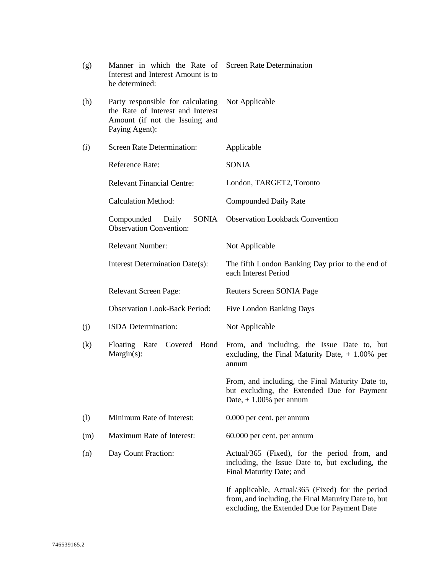| (g) | Manner in which the Rate of Screen Rate Determination<br>Interest and Interest Amount is to<br>be determined:              |                                                                                                                                                          |
|-----|----------------------------------------------------------------------------------------------------------------------------|----------------------------------------------------------------------------------------------------------------------------------------------------------|
| (h) | Party responsible for calculating<br>the Rate of Interest and Interest<br>Amount (if not the Issuing and<br>Paying Agent): | Not Applicable                                                                                                                                           |
| (i) | <b>Screen Rate Determination:</b>                                                                                          | Applicable                                                                                                                                               |
|     | <b>Reference Rate:</b>                                                                                                     | <b>SONIA</b>                                                                                                                                             |
|     | <b>Relevant Financial Centre:</b>                                                                                          | London, TARGET2, Toronto                                                                                                                                 |
|     | <b>Calculation Method:</b>                                                                                                 | <b>Compounded Daily Rate</b>                                                                                                                             |
|     | Compounded<br>SONIA<br>Daily<br><b>Observation Convention:</b>                                                             | <b>Observation Lookback Convention</b>                                                                                                                   |
|     | <b>Relevant Number:</b>                                                                                                    | Not Applicable                                                                                                                                           |
|     | Interest Determination Date(s):                                                                                            | The fifth London Banking Day prior to the end of<br>each Interest Period                                                                                 |
|     | Relevant Screen Page:                                                                                                      | Reuters Screen SONIA Page                                                                                                                                |
|     | <b>Observation Look-Back Period:</b>                                                                                       | <b>Five London Banking Days</b>                                                                                                                          |
| (j) | ISDA Determination:                                                                                                        | Not Applicable                                                                                                                                           |
| (k) | Floating Rate<br>Covered<br>Bond<br>$Margin(s)$ :                                                                          | From, and including, the Issue Date to, but<br>excluding, the Final Maturity Date, $+1.00\%$ per<br>annum                                                |
|     |                                                                                                                            | From, and including, the Final Maturity Date to,<br>but excluding, the Extended Due for Payment<br>Date, $+1.00\%$ per annum                             |
| (1) | Minimum Rate of Interest:                                                                                                  | 0.000 per cent. per annum                                                                                                                                |
| (m) | Maximum Rate of Interest:                                                                                                  | 60.000 per cent. per annum                                                                                                                               |
| (n) | Day Count Fraction:                                                                                                        | Actual/365 (Fixed), for the period from, and<br>including, the Issue Date to, but excluding, the<br>Final Maturity Date; and                             |
|     |                                                                                                                            | If applicable, Actual/365 (Fixed) for the period<br>from, and including, the Final Maturity Date to, but<br>excluding, the Extended Due for Payment Date |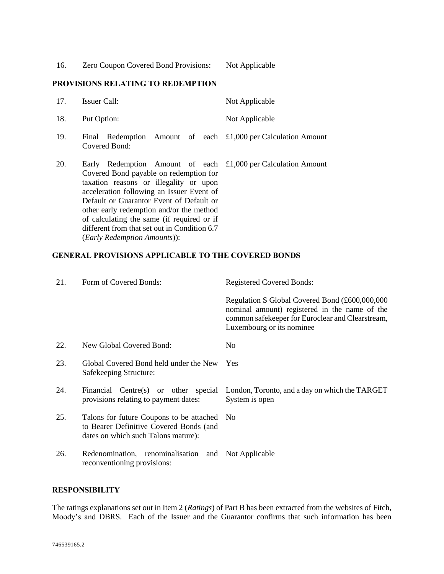16. Zero Coupon Covered Bond Provisions: Not Applicable

## **PROVISIONS RELATING TO REDEMPTION**

| 17. | Issuer Call:                                                                                                                                                                                                                                                                                                                                                                                                         | Not Applicable |
|-----|----------------------------------------------------------------------------------------------------------------------------------------------------------------------------------------------------------------------------------------------------------------------------------------------------------------------------------------------------------------------------------------------------------------------|----------------|
| 18. | Put Option:                                                                                                                                                                                                                                                                                                                                                                                                          | Not Applicable |
| 19. | Final Redemption Amount of each £1,000 per Calculation Amount<br>Covered Bond:                                                                                                                                                                                                                                                                                                                                       |                |
| 20. | Early Redemption Amount of each £1,000 per Calculation Amount<br>Covered Bond payable on redemption for<br>taxation reasons or illegality or upon<br>acceleration following an Issuer Event of<br>Default or Guarantor Event of Default or<br>other early redemption and/or the method<br>of calculating the same (if required or if<br>different from that set out in Condition 6.7<br>(Early Redemption Amounts)): |                |

## **GENERAL PROVISIONS APPLICABLE TO THE COVERED BONDS**

| 21. | Form of Covered Bonds:                                                                                                     | <b>Registered Covered Bonds:</b>                                                                                                                                                 |
|-----|----------------------------------------------------------------------------------------------------------------------------|----------------------------------------------------------------------------------------------------------------------------------------------------------------------------------|
|     |                                                                                                                            | Regulation S Global Covered Bond (£600,000,000<br>nominal amount) registered in the name of the<br>common safekeeper for Euroclear and Clearstream,<br>Luxembourg or its nominee |
| 22. | New Global Covered Bond:                                                                                                   | N <sub>0</sub>                                                                                                                                                                   |
| 23. | Global Covered Bond held under the New<br>Safekeeping Structure:                                                           | Yes                                                                                                                                                                              |
| 24. | Financial<br>Centre(s) or other special<br>provisions relating to payment dates:                                           | London, Toronto, and a day on which the TARGET<br>System is open                                                                                                                 |
| 25. | Talons for future Coupons to be attached<br>to Bearer Definitive Covered Bonds (and<br>dates on which such Talons mature): | N <sub>0</sub>                                                                                                                                                                   |
| 26. | Redenomination, renominalisation and<br>reconventioning provisions:                                                        | Not Applicable                                                                                                                                                                   |

## **RESPONSIBILITY**

The ratings explanations set out in Item 2 (*Ratings*) of Part B has been extracted from the websites of Fitch, Moody's and DBRS. Each of the Issuer and the Guarantor confirms that such information has been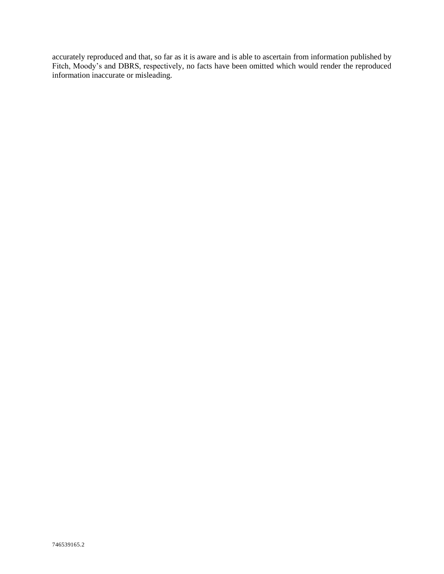accurately reproduced and that, so far as it is aware and is able to ascertain from information published by Fitch, Moody's and DBRS, respectively, no facts have been omitted which would render the reproduced information inaccurate or misleading.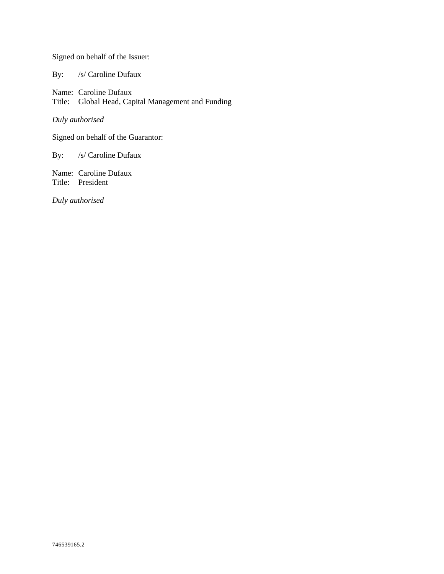Signed on behalf of the Issuer:

By: /s/ Caroline Dufaux

Name: Caroline Dufaux Title: Global Head, Capital Management and Funding

*Duly authorised*

Signed on behalf of the Guarantor:

By: /s/ Caroline Dufaux

Name: Caroline Dufaux Title: President

*Duly authorised*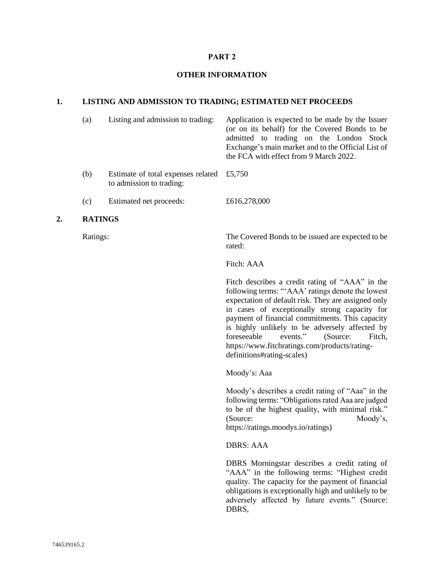#### **PART 2**

#### **OTHER INFORMATION**

## **1. LISTING AND ADMISSION TO TRADING; ESTIMATED NET PROCEEDS**

| (a) | Listing and admission to trading:                                       | Application is expected to be made by the Issuer<br>(or on its behalf) for the Covered Bonds to be<br>admitted to trading on the London Stock<br>Exchange's main market and to the Official List of<br>the FCA with effect from 9 March 2022. |
|-----|-------------------------------------------------------------------------|-----------------------------------------------------------------------------------------------------------------------------------------------------------------------------------------------------------------------------------------------|
| (b) | Estimate of total expenses related $£5,750$<br>to admission to trading: |                                                                                                                                                                                                                                               |
| (c) | Estimated net proceeds:                                                 | £616,278,000                                                                                                                                                                                                                                  |

#### **2. RATINGS**

Ratings: The Covered Bonds to be issued are expected to be rated:

Fitch: AAA

Fitch describes a credit rating of "AAA" in the following terms: "'AAA' ratings denote the lowest expectation of default risk. They are assigned only in cases of exceptionally strong capacity for payment of financial commitments. This capacity is highly unlikely to be adversely affected by<br>foreseeable events," (Source: Fitch foreseeable events." (Source: Fitch, https://www.fitchratings.com/products/ratingdefinitions#rating-scales)

Moody's: Aaa

Moody's describes a credit rating of "Aaa" in the following terms: "Obligations rated Aaa are judged to be of the highest quality, with minimal risk." (Source: Moody's, https://ratings.moodys.io/ratings)

DBRS: AAA

DBRS Morningstar describes a credit rating of "AAA" in the following terms: "Highest credit quality. The capacity for the payment of financial obligations is exceptionally high and unlikely to be adversely affected by future events." (Source: DBRS,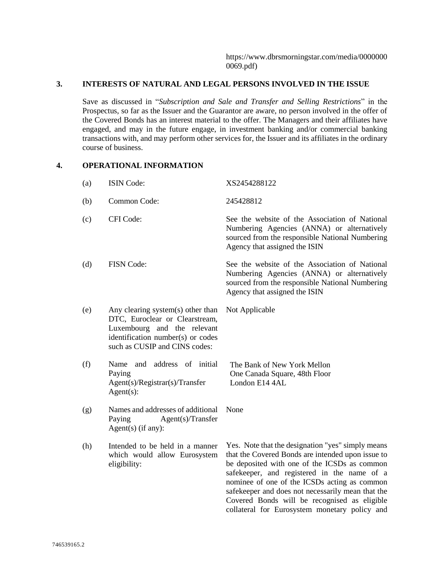## **3. INTERESTS OF NATURAL AND LEGAL PERSONS INVOLVED IN THE ISSUE**

Save as discussed in "*Subscription and Sale and Transfer and Selling Restrictions*" in the Prospectus, so far as the Issuer and the Guarantor are aware, no person involved in the offer of the Covered Bonds has an interest material to the offer. The Managers and their affiliates have engaged, and may in the future engage, in investment banking and/or commercial banking transactions with, and may perform other services for, the Issuer and its affiliates in the ordinary course of business.

## **4. OPERATIONAL INFORMATION**

| (a) | <b>ISIN Code:</b>                                                                                                                                                        | XS2454288122                                                                                                                                                                                                                                                                                                                                                                                                |
|-----|--------------------------------------------------------------------------------------------------------------------------------------------------------------------------|-------------------------------------------------------------------------------------------------------------------------------------------------------------------------------------------------------------------------------------------------------------------------------------------------------------------------------------------------------------------------------------------------------------|
| (b) | Common Code:                                                                                                                                                             | 245428812                                                                                                                                                                                                                                                                                                                                                                                                   |
| (c) | CFI Code:                                                                                                                                                                | See the website of the Association of National<br>Numbering Agencies (ANNA) or alternatively<br>sourced from the responsible National Numbering<br>Agency that assigned the ISIN                                                                                                                                                                                                                            |
| (d) | <b>FISN Code:</b>                                                                                                                                                        | See the website of the Association of National<br>Numbering Agencies (ANNA) or alternatively<br>sourced from the responsible National Numbering<br>Agency that assigned the ISIN                                                                                                                                                                                                                            |
| (e) | Any clearing system(s) other than<br>DTC, Euroclear or Clearstream,<br>Luxembourg and the relevant<br>identification number(s) or codes<br>such as CUSIP and CINS codes: | Not Applicable                                                                                                                                                                                                                                                                                                                                                                                              |
| (f) | Name<br>address of initial<br>and<br>Paying<br>Agent(s)/Registrar(s)/Transfer<br>$Agent(s)$ :                                                                            | The Bank of New York Mellon<br>One Canada Square, 48th Floor<br>London E14 4AL                                                                                                                                                                                                                                                                                                                              |
| (g) | Names and addresses of additional<br>Agent(s)/Transfer<br>Paying<br>$Agent(s)$ (if any):                                                                                 | None                                                                                                                                                                                                                                                                                                                                                                                                        |
| (h) | Intended to be held in a manner<br>which would allow Eurosystem<br>eligibility:                                                                                          | Yes. Note that the designation "yes" simply means<br>that the Covered Bonds are intended upon issue to<br>be deposited with one of the ICSDs as common<br>safekeeper, and registered in the name of a<br>nominee of one of the ICSDs acting as common<br>safekeeper and does not necessarily mean that the<br>Covered Bonds will be recognised as eligible<br>collateral for Eurosystem monetary policy and |